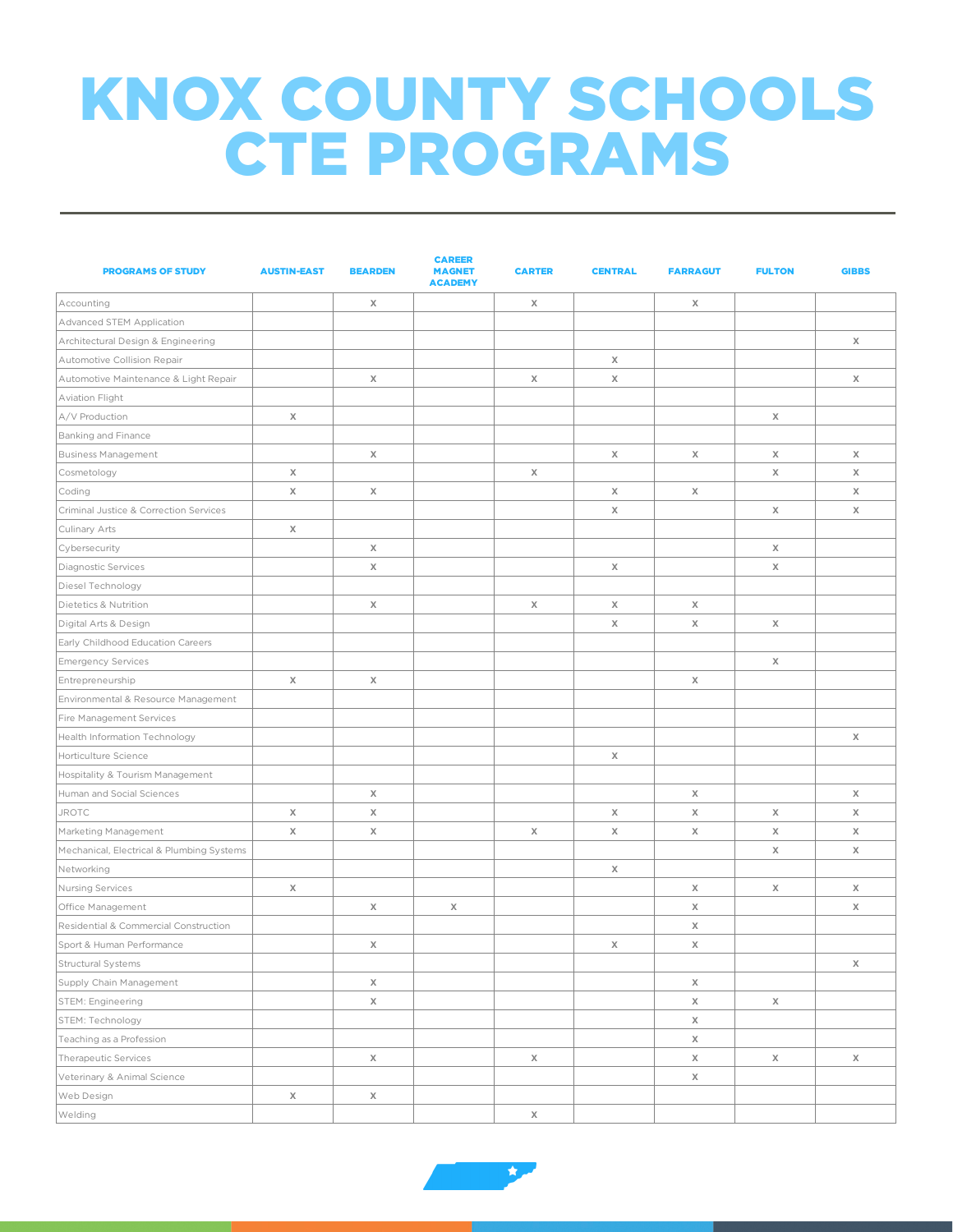## KNOX COUNTY SCHOOLS CTE PROGRAMS

| <b>PROGRAMS OF STUDY</b>                  | <b>AUSTIN-EAST</b> | <b>BEARDEN</b> | <b>CAREER</b><br><b>MAGNET</b><br><b>ACADEMY</b> | <b>CARTER</b> | <b>CENTRAL</b>            | <b>FARRAGUT</b> | <b>FULTON</b> | <b>GIBBS</b> |
|-------------------------------------------|--------------------|----------------|--------------------------------------------------|---------------|---------------------------|-----------------|---------------|--------------|
| Accounting                                |                    | $\times$       |                                                  | X             |                           | X               |               |              |
| Advanced STEM Application                 |                    |                |                                                  |               |                           |                 |               |              |
| Architectural Design & Engineering        |                    |                |                                                  |               |                           |                 |               | Χ            |
| Automotive Collision Repair               |                    |                |                                                  |               | $\chi$                    |                 |               |              |
| Automotive Maintenance & Light Repair     |                    | $\times$       |                                                  | $\chi$        | $\chi$                    |                 |               | Χ            |
| Aviation Flight                           |                    |                |                                                  |               |                           |                 |               |              |
| A/V Production                            | X                  |                |                                                  |               |                           |                 | X             |              |
| Banking and Finance                       |                    |                |                                                  |               |                           |                 |               |              |
| <b>Business Management</b>                |                    | $\chi$         |                                                  |               | $\chi$                    | X               | X             | Χ            |
| Cosmetology                               | X                  |                |                                                  | X             |                           |                 | X             | X            |
| Coding                                    | $\mathsf X$        | X              |                                                  |               | X                         | X               |               | X            |
| Criminal Justice & Correction Services    |                    |                |                                                  |               | X                         |                 | X             | X            |
| Culinary Arts                             | X                  |                |                                                  |               |                           |                 |               |              |
| Cybersecurity                             |                    | X              |                                                  |               |                           |                 | X             |              |
| Diagnostic Services                       |                    | Χ              |                                                  |               | X                         |                 | X             |              |
| Diesel Technology                         |                    |                |                                                  |               |                           |                 |               |              |
| Dietetics & Nutrition                     |                    | X              |                                                  | X             | X                         | X               |               |              |
| Digital Arts & Design                     |                    |                |                                                  |               | X                         | X               | X             |              |
| Early Childhood Education Careers         |                    |                |                                                  |               |                           |                 |               |              |
| <b>Emergency Services</b>                 |                    |                |                                                  |               |                           |                 | X             |              |
| Entrepreneurship                          | Χ                  | X              |                                                  |               |                           | X               |               |              |
| Environmental & Resource Management       |                    |                |                                                  |               |                           |                 |               |              |
| Fire Management Services                  |                    |                |                                                  |               |                           |                 |               |              |
| Health Information Technology             |                    |                |                                                  |               |                           |                 |               | Χ            |
| Horticulture Science                      |                    |                |                                                  |               | $\boldsymbol{\mathsf{X}}$ |                 |               |              |
| Hospitality & Tourism Management          |                    |                |                                                  |               |                           |                 |               |              |
| Human and Social Sciences                 |                    | Χ              |                                                  |               |                           | Χ               |               | Χ            |
| <b>JROTC</b>                              | Χ                  | $\chi$         |                                                  |               | X                         | X               | Χ             | Χ            |
| Marketing Management                      | Χ                  | $\times$       |                                                  | $\chi$        | X                         | X               | Χ             | Χ            |
| Mechanical, Electrical & Plumbing Systems |                    |                |                                                  |               |                           |                 | X             | Χ            |
| Networking                                |                    |                |                                                  |               | X                         |                 |               |              |
| Nursing Services                          | Χ                  |                |                                                  |               |                           | X               | Χ             | Χ            |
| Office Management                         |                    | X              | Χ                                                |               |                           | X               |               | Χ            |
| Residential & Commercial Construction     |                    |                |                                                  |               |                           | X               |               |              |
| Sport & Human Performance                 |                    | $\mathsf X$    |                                                  |               | X                         | X               |               |              |
| Structural Systems                        |                    |                |                                                  |               |                           |                 |               | Χ            |
| Supply Chain Management                   |                    | $\mathsf X$    |                                                  |               |                           | $\mathsf X$     |               |              |
| STEM: Engineering                         |                    | $\mathsf X$    |                                                  |               |                           | Χ               | Χ             |              |
| STEM: Technology                          |                    |                |                                                  |               |                           | Χ               |               |              |
| Teaching as a Profession                  |                    |                |                                                  |               |                           | Χ               |               |              |
| Therapeutic Services                      |                    | X              |                                                  | Χ             |                           | Χ               | Χ             | Χ            |
| Veterinary & Animal Science               |                    |                |                                                  |               |                           | Χ               |               |              |
| Web Design                                | Χ                  | X              |                                                  |               |                           |                 |               |              |
| Welding                                   |                    |                |                                                  | $\chi$        |                           |                 |               |              |